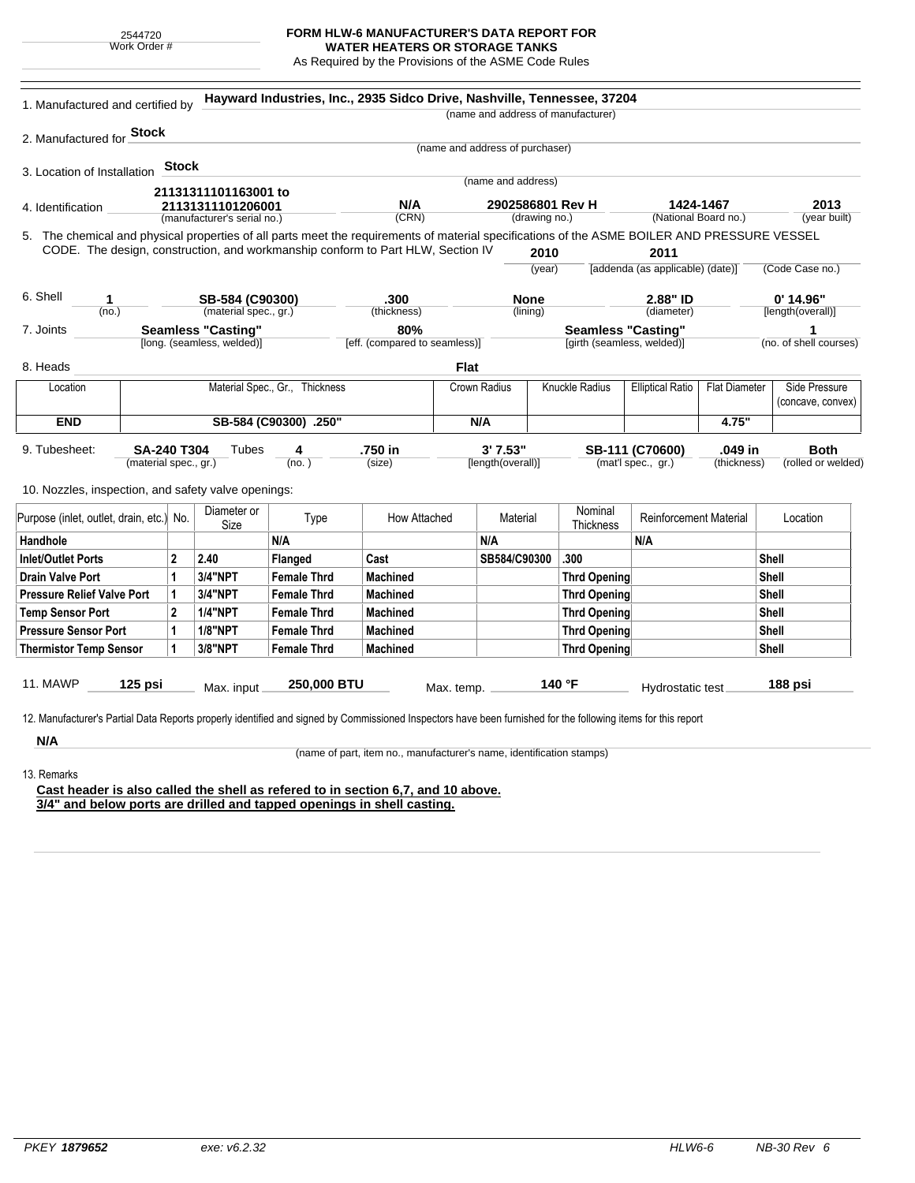2544720 Work Order #

## **FORM HLW-6 MANUFACTURER'S DATA REPORT FOR**

**WATER HEATERS OR STORAGE TANKS** As Required by the Provisions of the ASME Code Rules

| 1. Manufactured and certified by                                                                                                                                                                                                |                                                  |                            | Hayward Industries, Inc., 2935 Sidco Drive, Nashville, Tennessee, 37204 |                                                                      |                                       |                                   |                         | (name and address of manufacturer) |                                       |                        |                                   |
|---------------------------------------------------------------------------------------------------------------------------------------------------------------------------------------------------------------------------------|--------------------------------------------------|----------------------------|-------------------------------------------------------------------------|----------------------------------------------------------------------|---------------------------------------|-----------------------------------|-------------------------|------------------------------------|---------------------------------------|------------------------|-----------------------------------|
| 2. Manufactured for <b>Stock</b>                                                                                                                                                                                                |                                                  |                            |                                                                         |                                                                      |                                       |                                   |                         |                                    |                                       |                        |                                   |
|                                                                                                                                                                                                                                 |                                                  |                            |                                                                         |                                                                      |                                       | (name and address of purchaser)   |                         |                                    |                                       |                        |                                   |
| 3. Location of Installation                                                                                                                                                                                                     | <b>Stock</b>                                     |                            |                                                                         |                                                                      |                                       |                                   |                         |                                    |                                       |                        |                                   |
|                                                                                                                                                                                                                                 |                                                  | 21131311101163001 to       |                                                                         |                                                                      |                                       | (name and address)                |                         |                                    |                                       |                        |                                   |
| 4. Identification                                                                                                                                                                                                               | 21131311101206001<br>(manufacturer's serial no.) |                            |                                                                         | N/A<br>(CRN)                                                         |                                       | 2902586801 Rev H<br>(drawing no.) |                         |                                    | 1424-1467<br>(National Board no.)     |                        | 2013<br>(year built)              |
| 5. The chemical and physical properties of all parts meet the requirements of material specifications of the ASME BOILER AND PRESSURE VESSEL<br>CODE. The design, construction, and workmanship conform to Part HLW, Section IV |                                                  |                            |                                                                         |                                                                      |                                       |                                   | 2010                    |                                    | 2011                                  |                        |                                   |
|                                                                                                                                                                                                                                 |                                                  |                            |                                                                         |                                                                      |                                       |                                   | (year)                  |                                    | [addenda (as applicable) (date)]      |                        | (Code Case no.)                   |
| 6. Shell<br>1                                                                                                                                                                                                                   | SB-584 (C90300)                                  |                            |                                                                         | .300                                                                 |                                       | <b>None</b>                       |                         | 2.88" ID                           |                                       |                        | $0'$ 14.96"                       |
| (no.)                                                                                                                                                                                                                           |                                                  | (material spec., gr.)      |                                                                         | (thickness)                                                          |                                       | (lining)                          |                         | (diameter)                         |                                       | [length(overall)]      |                                   |
| 7. Joints                                                                                                                                                                                                                       |                                                  | <b>Seamless "Casting"</b>  |                                                                         | 80%                                                                  |                                       |                                   |                         | <b>Seamless "Casting"</b>          |                                       |                        | 1                                 |
|                                                                                                                                                                                                                                 |                                                  | [long. (seamless, welded)] |                                                                         | [eff. (compared to seamless)]                                        |                                       |                                   |                         | [girth (seamless, welded)]         |                                       |                        | (no. of shell courses)            |
| 8. Heads                                                                                                                                                                                                                        |                                                  |                            |                                                                         |                                                                      | <b>Flat</b>                           |                                   |                         |                                    |                                       |                        |                                   |
| Location                                                                                                                                                                                                                        | Material Spec., Gr., Thickness                   |                            |                                                                         |                                                                      | <b>Knuckle Radius</b><br>Crown Radius |                                   | <b>Elliptical Ratio</b> | <b>Flat Diameter</b>               | Side Pressure<br>(concave, convex)    |                        |                                   |
| <b>END</b>                                                                                                                                                                                                                      | SB-584 (C90300) .250"                            |                            |                                                                         |                                                                      | N/A                                   |                                   |                         |                                    | 4.75"                                 |                        |                                   |
| 9. Tubesheet:<br>(material spec., gr.)<br>10. Nozzles, inspection, and safety valve openings:                                                                                                                                   | <b>SA-240 T304</b>                               | Tubes<br>Diameter or       | 4<br>(no.)                                                              | .750 in<br>(size)                                                    |                                       | 3'7.53"<br>[length(overall)]      |                         | Nominal                            | SB-111 (C70600)<br>(mat'l spec., gr.) | .049 in<br>(thickness) | <b>Both</b><br>(rolled or welded) |
| Purpose (inlet, outlet, drain, etc.) No.                                                                                                                                                                                        |                                                  | Size                       | Type                                                                    | How Attached                                                         |                                       | Material                          |                         | Thickness                          | <b>Reinforcement Material</b>         |                        | Location                          |
| Handhole                                                                                                                                                                                                                        |                                                  |                            | N/A                                                                     |                                                                      |                                       | N/A                               |                         |                                    | N/A                                   |                        |                                   |
|                                                                                                                                                                                                                                 | 2                                                | 2.40                       | <b>Flanged</b>                                                          |                                                                      |                                       |                                   |                         |                                    |                                       |                        |                                   |
|                                                                                                                                                                                                                                 |                                                  |                            |                                                                         | Cast                                                                 |                                       | SB584/C90300                      |                         | .300                               |                                       |                        | Shell                             |
|                                                                                                                                                                                                                                 | 1                                                | 3/4"NPT                    | <b>Female Thrd</b>                                                      | <b>Machined</b>                                                      |                                       |                                   |                         | <b>Thrd Opening</b>                |                                       |                        | Shell                             |
|                                                                                                                                                                                                                                 | 1                                                | 3/4"NPT                    | <b>Female Thrd</b>                                                      | <b>Machined</b>                                                      |                                       |                                   |                         | <b>Thrd Opening</b>                |                                       |                        | Shell                             |
|                                                                                                                                                                                                                                 | 2                                                | <b>1/4"NPT</b>             | <b>Female Thrd</b>                                                      | <b>Machined</b>                                                      |                                       |                                   |                         | <b>Thrd Opening</b>                |                                       |                        | <b>Shell</b>                      |
|                                                                                                                                                                                                                                 | $\mathbf{1}$                                     | <b>1/8"NPT</b>             | <b>Female Thrd</b>                                                      | <b>Machined</b>                                                      |                                       |                                   |                         | <b>Thrd Opening</b>                |                                       |                        | Shell                             |
|                                                                                                                                                                                                                                 | 1                                                | 3/8"NPT                    | <b>Female Thrd</b>                                                      | <b>Machined</b>                                                      |                                       |                                   |                         | <b>Thrd Opening</b>                |                                       |                        | Shell                             |
| <b>Inlet/Outlet Ports</b><br><b>Drain Valve Port</b><br><b>Pressure Relief Valve Port</b><br><b>Temp Sensor Port</b><br><b>Pressure Sensor Port</b><br><b>Thermistor Temp Sensor</b><br>11. MAWP<br>$125$ psi                   |                                                  | Max. input                 | 250,000 BTU                                                             |                                                                      | Max. temp.                            |                                   |                         | 140 °F                             | <b>Hydrostatic test</b>               |                        | 188 psi                           |
|                                                                                                                                                                                                                                 |                                                  |                            |                                                                         |                                                                      |                                       |                                   |                         |                                    |                                       |                        |                                   |
|                                                                                                                                                                                                                                 |                                                  |                            |                                                                         |                                                                      |                                       |                                   |                         |                                    |                                       |                        |                                   |
| 12. Manufacturer's Partial Data Reports properly identified and signed by Commissioned Inspectors have been furnished for the following items for this report<br>N/A                                                            |                                                  |                            |                                                                         | (name of part, item no., manufacturer's name, identification stamps) |                                       |                                   |                         |                                    |                                       |                        |                                   |
| 13. Remarks                                                                                                                                                                                                                     |                                                  |                            |                                                                         |                                                                      |                                       |                                   |                         |                                    |                                       |                        |                                   |

**3/4" and below ports are drilled and tapped openings in shell casting.**

÷.